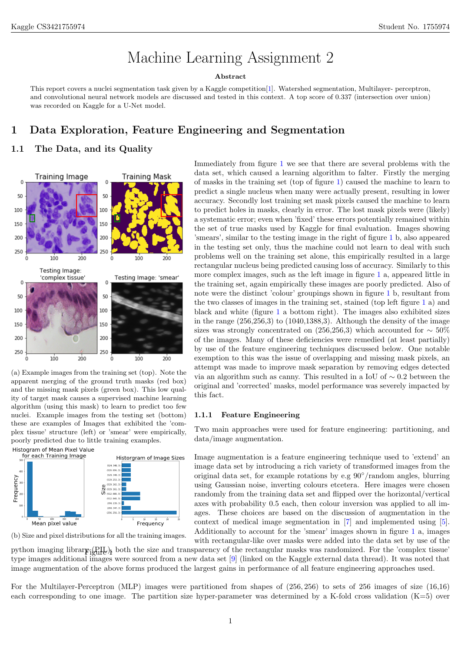# Machine Learning Assignment 2

#### Abstract

This report covers a nuclei segmentation task given by a Kaggle competition[\[1\]](#page-4-0). Watershed segmentation, Multilayer- perceptron, and convolutional neural network models are discussed and tested in this context. A top score of 0.337 (intersection over union) was recorded on Kaggle for a U-Net model.

## 1 Data Exploration, Feature Engineering and Segmentation

## 1.1 The Data, and its Quality

<span id="page-0-0"></span>

(a) Example images from the training set (top). Note the apparent merging of the ground truth masks (red box) and the missing mask pixels (green box). This low quality of target mask causes a supervised machine learning algorithm (using this mask) to learn to predict too few nuclei. Example images from the testing set (bottom) these are examples of Images that exhibited the 'complex tissue' structure (left) or 'smear' were empirically, poorly predicted due to little training examples.



(b) Size and pixel distributions for all the training images.

Immediately from figure [1](#page-0-0) we see that there are several problems with the data set, which caused a learning algorithm to falter. Firstly the merging of masks in the training set (top of figure [1\)](#page-0-0) caused the machine to learn to predict a single nucleus when many were actually present, resulting in lower accuracy. Secondly lost training set mask pixels caused the machine to learn to predict holes in masks, clearly in error. The lost mask pixels were (likely) a systematic error; even when 'fixed' these errors potentially remained within the set of true masks used by Kaggle for final evaluation. Images showing 'smears', similar to the testing image in the right of figure [1](#page-0-0) b, also appeared in the testing set only, thus the machine could not learn to deal with such problems well on the training set alone, this empirically resulted in a large rectangular nucleus being predicted causing loss of accuracy. Similarly to this more complex images, such as the left image in figure [1](#page-0-0) a, appeared little in the training set, again empirically these images are poorly predicted. Also of note were the distinct 'colour' groupings shown in figure [1](#page-0-0) b, resultant from the two classes of images in the training set, stained (top left figure [1](#page-0-0) a) and black and white (figure [1](#page-0-0) a bottom right). The images also exhibited sizes in the range  $(256,256,3)$  to  $(1040,1388,3)$ . Although the density of the image sizes was strongly concentrated on (256,256,3) which accounted for  $\sim$  50% of the images. Many of these deficiencies were remedied (at least partially) by use of the feature engineering techniques discussed below. One notable exemption to this was the issue of overlapping and missing mask pixels, an attempt was made to improve mask separation by removing edges detected via an algorithm such as canny. This resulted in a IoU of ∼ 0.2 between the original and 'corrected' masks, model performance was severely impacted by this fact.

### 1.1.1 Feature Engineering

Two main approaches were used for feature engineering: partitioning, and data/image augmentation.

Image augmentation is a feature engineering technique used to 'extend' an image data set by introducing a rich variety of transformed images from the original data set, for example rotations by e.g  $90^{\circ}/\text{random angles}$ , blurring using Gaussian noise, inverting colours etcetera. Here images were chosen randomly from the training data set and flipped over the horizontal/vertical axes with probability 0.5 each, then colour inversion was applied to all images. These choices are based on the discussion of augmentation in the context of medical image segmentation in [\[7\]](#page-5-0) and implemented using [\[5\]](#page-4-1). Additionally to account for the 'smear' images shown in figure [1](#page-0-0) a, images with rectangular-like over masks were added into the data set by use of the

python imaging library ( $\text{QIL}$ ), both the size and transparency of the rectangular masks was randomized. For the 'complex tissue' type images additional images were sourced from a new data set [\[9\]](#page-5-1) (linked on the Kaggle external data thread). It was noted that image augmentation of the above forms produced the largest gains in performance of all feature engineering approaches used.

For the Multilayer-Perceptron (MLP) images were partitioned from shapes of (256, 256) to sets of 256 images of size (16,16) each corresponding to one image. The partition size hyper-parameter was determined by a K-fold cross validation (K=5) over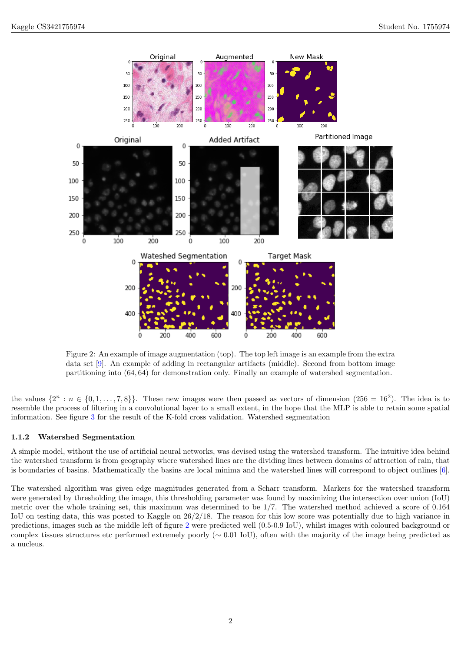<span id="page-1-0"></span>

Figure 2: An example of image augmentation (top). The top left image is an example from the extra data set [\[9\]](#page-5-1). An example of adding in rectangular artifacts (middle). Second from bottom image partitioning into (64, 64) for demonstration only. Finally an example of watershed segmentation.

the values  $\{2^n : n \in \{0, 1, \ldots, 7, 8\}\}.$  These new images were then passed as vectors of dimension  $(256 = 16^2)$ . The idea is to resemble the process of filtering in a convolutional layer to a small extent, in the hope that the MLP is able to retain some spatial information. See figure [3](#page-2-0) for the result of the K-fold cross validation. Watershed segmentation

#### 1.1.2 Watershed Segmentation

A simple model, without the use of artificial neural networks, was devised using the watershed transform. The intuitive idea behind the watershed transform is from geography where watershed lines are the dividing lines between domains of attraction of rain, that is boundaries of basins. Mathematically the basins are local minima and the watershed lines will correspond to object outlines [\[6\]](#page-4-2).

The watershed algorithm was given edge magnitudes generated from a Scharr transform. Markers for the watershed transform were generated by thresholding the image, this thresholding parameter was found by maximizing the intersection over union (IoU) metric over the whole training set, this maximum was determined to be 1/7. The watershed method achieved a score of 0.164 IoU on testing data, this was posted to Kaggle on 26/2/18. The reason for this low score was potentially due to high variance in predictions, images such as the middle left of figure [2](#page-1-0) were predicted well (0.5-0.9 IoU), whilst images with coloured background or complex tissues structures etc performed extremely poorly (∼ 0.01 IoU), often with the majority of the image being predicted as a nucleus.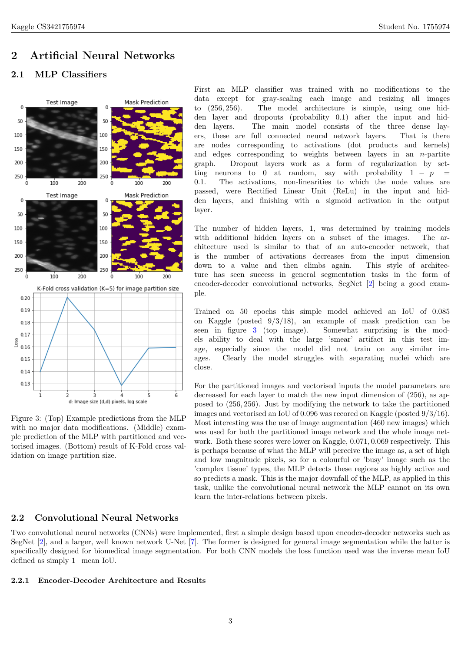# 2 Artificial Neural Networks

## 2.1 MLP Classifiers

<span id="page-2-0"></span>

Figure 3: (Top) Example predictions from the MLP with no major data modifications. (Middle) example prediction of the MLP with partitioned and vectorised images. (Bottom) result of K-Fold cross validation on image partition size.

First an MLP classifier was trained with no modifications to the data except for gray-scaling each image and resizing all images to (256, 256). The model architecture is simple, using one hidden layer and dropouts (probability 0.1) after the input and hidden layers. The main model consists of the three dense layers, these are full connected neural network layers. That is there are nodes corresponding to activations (dot products and kernels) and edges corresponding to weights between layers in an  $n$ -partite graph. Dropout layers work as a form of regularization by setting neurons to 0 at random, say with probability  $1 - p =$ 0.1. The activations, non-linearities to which the node values are passed, were Rectified Linear Unit (ReLu) in the input and hidden layers, and finishing with a sigmoid activation in the output layer.

The number of hidden layers, 1, was determined by training models with additional hidden layers on a subset of the images. The architecture used is similar to that of an auto-encoder network, that is the number of activations decreases from the input dimension down to a value and then climbs again. This style of architecture has seen success in general segmentation tasks in the form of encoder-decoder convolutional networks, SegNet [\[2\]](#page-4-3) being a good example.

Trained on 50 epochs this simple model achieved an IoU of 0.085 on Kaggle (posted 9/3/18), an example of mask prediction can be seen in figure [3](#page-2-0) (top image). Somewhat surprising is the models ability to deal with the large 'smear' artifact in this test image, especially since the model did not train on any similar images. Clearly the model struggles with separating nuclei which are close.

For the partitioned images and vectorised inputs the model parameters are decreased for each layer to match the new input dimension of (256), as apposed to (256, 256). Just by modifying the network to take the partitioned images and vectorised an IoU of 0.096 was recored on Kaggle (posted 9/3/16). Most interesting was the use of image augmentation (460 new images) which was used for both the partitioned image network and the whole image network. Both these scores were lower on Kaggle, 0.071, 0.069 respectively. This is perhaps because of what the MLP will perceive the image as, a set of high and low magnitude pixels, so for a colourful or 'busy' image such as the 'complex tissue' types, the MLP detects these regions as highly active and so predicts a mask. This is the major downfall of the MLP, as applied in this task, unlike the convolutional neural network the MLP cannot on its own learn the inter-relations between pixels.

## 2.2 Convolutional Neural Networks

Two convolutional neural networks (CNNs) were implemented, first a simple design based upon encoder-decoder networks such as SegNet [\[2\]](#page-4-3), and a larger, well known network U-Net [\[7\]](#page-5-0). The former is designed for general image segmentation while the latter is specifically designed for biomedical image segmentation. For both CNN models the loss function used was the inverse mean IoU defined as simply 1−mean IoU.

## 2.2.1 Encoder-Decoder Architecture and Results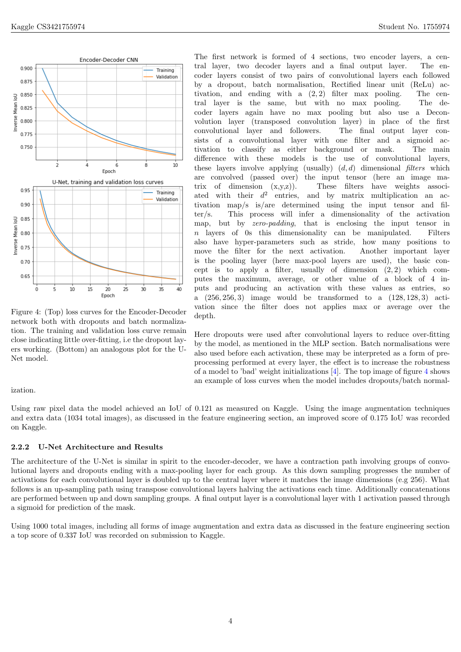<span id="page-3-0"></span>

Figure 4: (Top) loss curves for the Encoder-Decoder network both with dropouts and batch normalization. The training and validation loss curve remain close indicating little over-fitting, i.e the dropout layers working. (Bottom) an analogous plot for the U-Net model.

#### ization.

Using raw pixel data the model achieved an IoU of 0.121 as measured on Kaggle. Using the image augmentation techniques and extra data (1034 total images), as discussed in the feature engineering section, an improved score of 0.175 IoU was recorded on Kaggle.

#### 2.2.2 U-Net Architecture and Results

The architecture of the U-Net is similar in spirit to the encoder-decoder, we have a contraction path involving groups of convolutional layers and dropouts ending with a max-pooling layer for each group. As this down sampling progresses the number of activations for each convolutional layer is doubled up to the central layer where it matches the image dimensions (e.g 256). What follows is an up-sampling path using transpose convolutional layers halving the activations each time. Additionally concatenations are performed between up and down sampling groups. A final output layer is a convolutional layer with 1 activation passed through a sigmoid for prediction of the mask.

Using 1000 total images, including all forms of image augmentation and extra data as discussed in the feature engineering section a top score of 0.337 IoU was recorded on submission to Kaggle.

The first network is formed of 4 sections, two encoder layers, a central layer, two decoder layers and a final output layer. The encoder layers consist of two pairs of convolutional layers each followed by a dropout, batch normalisation, Rectified linear unit (ReLu) activation, and ending with a  $(2, 2)$  filter max pooling. The central layer is the same, but with no max pooling. The decoder layers again have no max pooling but also use a Deconvolution layer (transposed convolution layer) in place of the first convolutional layer and followers. The final output layer consists of a convolutional layer with one filter and a sigmoid activation to classify as either background or mask. The main difference with these models is the use of convolutional layers, these layers involve applying (usually)  $(d, d)$  dimensional filters which are convolved (passed over) the input tensor (here an image matrix of dimension  $(x,y,z)$ . These filters have weights associated with their  $d^2$ and by matrix multiplication an activation map/s is/are determined using the input tensor and filter/s. This process will infer a dimensionality of the activation map, but by *zero-padding*, that is enclosing the input tensor in n layers of 0s this dimensionality can be manipulated. Filters also have hyper-parameters such as stride, how many positions to move the filter for the next activation. Another important layer is the pooling layer (here max-pool layers are used), the basic concept is to apply a filter, usually of dimension  $(2, 2)$  which computes the maximum, average, or other value of a block of 4 inputs and producing an activation with these values as entries, so a (256, 256, 3) image would be transformed to a (128, 128, 3) activation since the filter does not applies max or average over the depth.

Here dropouts were used after convolutional layers to reduce over-fitting by the model, as mentioned in the MLP section. Batch normalisations were also used before each activation, these may be interpreted as a form of preprocessing performed at every layer, the effect is to increase the robustness of a model to 'bad' weight initializations [\[4\]](#page-4-4). The top image of figure [4](#page-3-0) shows an example of loss curves when the model includes dropouts/batch normal-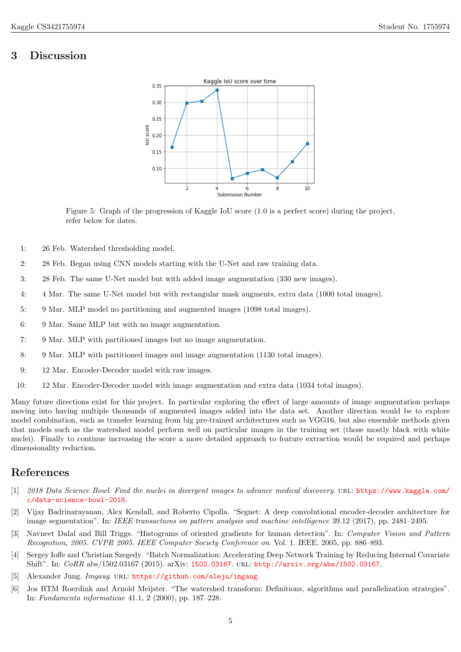# 3 Discussion



Figure 5: Graph of the progression of Kaggle IoU score (1.0 is a perfect score) during the project, refer below for dates.

- 1: 26 Feb. Watershed thresholding model.
- 2: 28 Feb. Began using CNN models starting with the U-Net and raw training data.
- 3: 28 Feb. The same U-Net model but with added image augmentation (330 new images).
- 4: 4 Mar. The same U-Net model but with rectangular mask augments, extra data (1000 total images).
- 5: 9 Mar. MLP model no partitioning and augmented images (1098 total images).
- 6: 9 Mar. Same MLP but with no image augmentation.
- 7: 9 Mar. MLP with partitioned images but no image augmentation.
- 8: 9 Mar. MLP with partitioned images and image augmentation (1130 total images).
- 9: 12 Mar. Encoder-Decoder model with raw images.
- 10: 12 Mar. Encoder-Decoder model with image augmentation and extra data (1034 total images).

Many future directions exist for this project. In particular exploring the effect of large amounts of image augmentation perhaps moving into having multiple thousands of augmented images added into the data set. Another direction would be to explore model combination, such as transfer learning from big pre-trained architectures such as VGG16, but also ensemble methods given that models such as the watershed model perform well on particular images in the training set (those mostly black with white nuclei). Finally to continue increasing the score a more detailed approach to feature extraction would be required and perhaps dimensionality reduction.

## References

- <span id="page-4-0"></span>[1] 2018 Data Science Bowl: Find the nuclei in divergent images to advance medical discovery. url: [https://www.kaggle.com/](https://www.kaggle.com/c/data-science-bowl-2018) [c/data-science-bowl-2018](https://www.kaggle.com/c/data-science-bowl-2018).
- <span id="page-4-3"></span>[2] Vijay Badrinarayanan, Alex Kendall, and Roberto Cipolla. "Segnet: A deep convolutional encoder-decoder architecture for image segmentation". In: IEEE transactions on pattern analysis and machine intelligence 39.12 (2017), pp. 2481–2495.
- [3] Navneet Dalal and Bill Triggs. "Histograms of oriented gradients for human detection". In: Computer Vision and Pattern Recognition, 2005. CVPR 2005. IEEE Computer Society Conference on. Vol. 1. IEEE. 2005, pp. 886–893.
- <span id="page-4-4"></span>[4] Sergey Ioffe and Christian Szegedy. "Batch Normalization: Accelerating Deep Network Training by Reducing Internal Covariate Shift". In: CoRR abs/1502.03167 (2015). arXiv: [1502.03167](http://arxiv.org/abs/1502.03167). url: <http://arxiv.org/abs/1502.03167>.
- <span id="page-4-1"></span>[5] Alexander Jung. Imgaug. URL: <https://github.com/aleju/imgaug>.
- <span id="page-4-2"></span>[6] Jos BTM Roerdink and Arnold Meijster. "The watershed transform: Definitions, algorithms and parallelization strategies". In: Fundamenta informaticae 41.1, 2 (2000), pp. 187–228.